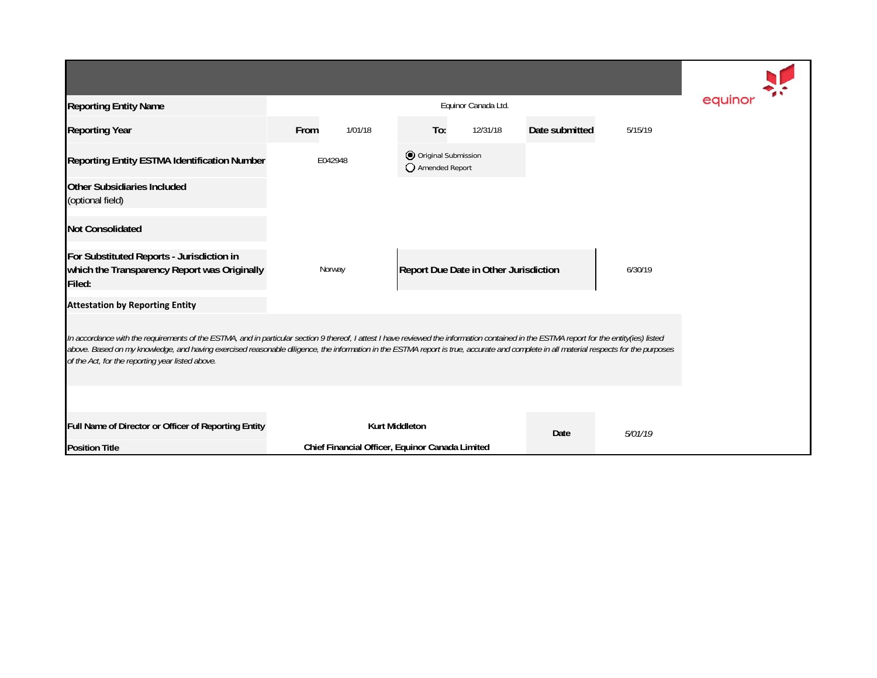| <b>Reporting Entity Name</b>                                                                                                                                                                                                                                                                                                                                                                                                          |                       | equino                                          |                                         |                                       |                |         |  |  |  |  |  |
|---------------------------------------------------------------------------------------------------------------------------------------------------------------------------------------------------------------------------------------------------------------------------------------------------------------------------------------------------------------------------------------------------------------------------------------|-----------------------|-------------------------------------------------|-----------------------------------------|---------------------------------------|----------------|---------|--|--|--|--|--|
| <b>Reporting Year</b>                                                                                                                                                                                                                                                                                                                                                                                                                 | From                  | 1/01/18                                         | To:                                     | 12/31/18                              | Date submitted | 5/15/19 |  |  |  |  |  |
| Reporting Entity ESTMA Identification Number                                                                                                                                                                                                                                                                                                                                                                                          | E042948               |                                                 | O Original Submission<br>Amended Report |                                       |                |         |  |  |  |  |  |
| Other Subsidiaries Included<br>(optional field)                                                                                                                                                                                                                                                                                                                                                                                       |                       |                                                 |                                         |                                       |                |         |  |  |  |  |  |
| <b>Not Consolidated</b>                                                                                                                                                                                                                                                                                                                                                                                                               |                       |                                                 |                                         |                                       |                |         |  |  |  |  |  |
| For Substituted Reports - Jurisdiction in<br>which the Transparency Report was Originally<br>Filed:                                                                                                                                                                                                                                                                                                                                   |                       | Norway                                          |                                         | Report Due Date in Other Jurisdiction |                | 6/30/19 |  |  |  |  |  |
| <b>Attestation by Reporting Entity</b>                                                                                                                                                                                                                                                                                                                                                                                                |                       |                                                 |                                         |                                       |                |         |  |  |  |  |  |
| In accordance with the requirements of the ESTMA, and in particular section 9 thereof, I attest I have reviewed the information contained in the ESTMA report for the entity(ies) listed<br>above. Based on my knowledge, and having exercised reasonable diligence, the information in the ESTMA report is true, accurate and complete in all material respects for the purposes<br>of the Act, for the reporting year listed above. |                       |                                                 |                                         |                                       |                |         |  |  |  |  |  |
|                                                                                                                                                                                                                                                                                                                                                                                                                                       |                       |                                                 |                                         |                                       |                |         |  |  |  |  |  |
| Full Name of Director or Officer of Reporting Entity                                                                                                                                                                                                                                                                                                                                                                                  | <b>Kurt Middleton</b> |                                                 |                                         |                                       | Date           | 5/01/19 |  |  |  |  |  |
| <b>Position Title</b>                                                                                                                                                                                                                                                                                                                                                                                                                 |                       | Chief Financial Officer, Equinor Canada Limited |                                         |                                       |                |         |  |  |  |  |  |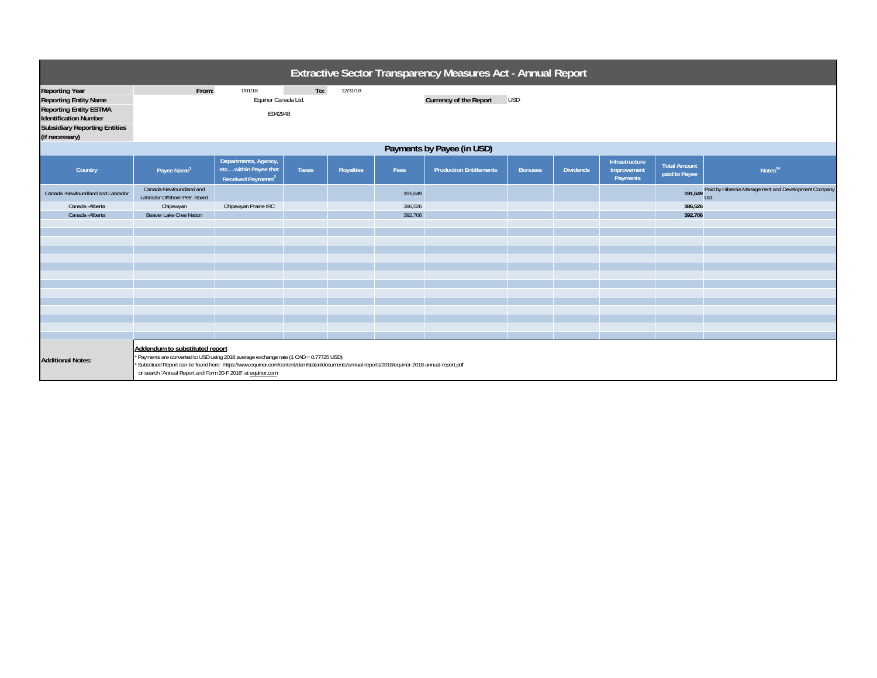| Extractive Sector Transparency Measures Act - Annual Report                                                                                                                      |                                                                                                                                                                                                                                                                                                                                          |                                                                                 |              |           |         |                                             |                |                  |                                           |                                      |                                                             |  |
|----------------------------------------------------------------------------------------------------------------------------------------------------------------------------------|------------------------------------------------------------------------------------------------------------------------------------------------------------------------------------------------------------------------------------------------------------------------------------------------------------------------------------------|---------------------------------------------------------------------------------|--------------|-----------|---------|---------------------------------------------|----------------|------------------|-------------------------------------------|--------------------------------------|-------------------------------------------------------------|--|
| <b>Reporting Year</b><br><b>Reporting Entity Name</b><br><b>Reporting Entity ESTMA</b><br><b>Identification Number</b><br><b>Subsidiary Reporting Entities</b><br>(if necessary) | From:                                                                                                                                                                                                                                                                                                                                    | 1/01/18<br>Equinor Canada Ltd.<br>E042948                                       | To:          | 12/31/18  |         | <b>Currency of the Report</b><br><b>USD</b> |                |                  |                                           |                                      |                                                             |  |
| Payments by Payee (in USD)                                                                                                                                                       |                                                                                                                                                                                                                                                                                                                                          |                                                                                 |              |           |         |                                             |                |                  |                                           |                                      |                                                             |  |
| Country                                                                                                                                                                          | Payee Name <sup>1</sup>                                                                                                                                                                                                                                                                                                                  | Departments, Agency,<br>etc within Payee that<br>Received Payments <sup>2</sup> | <b>Taxes</b> | Royalties | Fees    | <b>Production Entitlements</b>              | <b>Bonuses</b> | <b>Dividends</b> | Infrastructure<br>Improvement<br>Payments | <b>Total Amount</b><br>paid to Payee | Notes <sup>34</sup>                                         |  |
| Canada -Newfoundland and Labrador                                                                                                                                                | Canada-Newfoundland and<br>Labrador Offshore Petr. Board                                                                                                                                                                                                                                                                                 |                                                                                 |              |           | 191,649 |                                             |                |                  |                                           |                                      | 191,649 Paid by Hibernia Management and Development Company |  |
| Canada - Alberta                                                                                                                                                                 | Chipewyan                                                                                                                                                                                                                                                                                                                                | Chipewyan Prairie IRC                                                           |              |           | 386,526 |                                             |                |                  |                                           | 386,526                              |                                                             |  |
| Canada - Alberta                                                                                                                                                                 | Beaver Lake Cree Nation                                                                                                                                                                                                                                                                                                                  |                                                                                 |              |           | 392,706 |                                             |                |                  |                                           | 392,706                              |                                                             |  |
| <b>Additional Notes:</b>                                                                                                                                                         | Addendum to substituted report<br>* Payments are converted to USD using 2018 average exchange rate (1 CAD = 0.77725 USD)<br>Substitued Report can be found here: https://www.equinor.com/content/dam/statoil/documents/annual-reports/2018/equinor-2018-annual-report.pdf<br>or search "Annual Report and Form 20-F 2018" at equinor.com |                                                                                 |              |           |         |                                             |                |                  |                                           |                                      |                                                             |  |